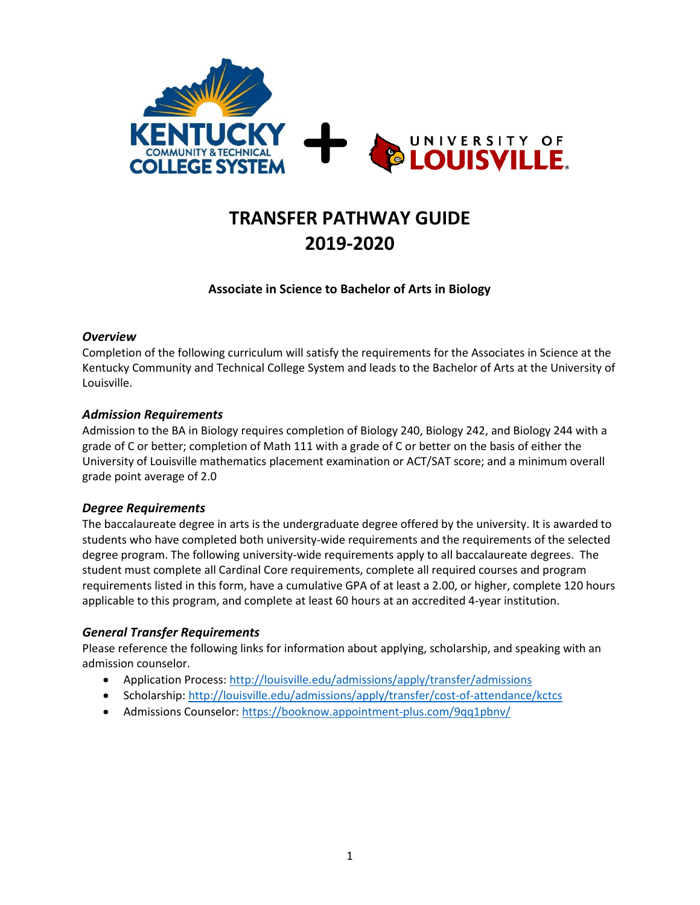

# **TRANSFER PATHWAY GUIDE 2019-2020**

## **Associate in Science to Bachelor of Arts in Biology**

#### *Overview*

Completion of the following curriculum will satisfy the requirements for the Associates in Science at the Kentucky Community and Technical College System and leads to the Bachelor of Arts at the University of Louisville.

#### *Admission Requirements*

Admission to the BA in Biology requires completion of Biology 240, Biology 242, and Biology 244 with a grade of C or better; completion of Math 111 with a grade of C or better on the basis of either the University of Louisville mathematics placement examination or ACT/SAT score; and a minimum overall grade point average of 2.0

#### *Degree Requirements*

The baccalaureate degree in arts is the undergraduate degree offered by the university. It is awarded to students who have completed both university-wide requirements and the requirements of the selected degree program. The following university-wide requirements apply to all baccalaureate degrees. The student must complete all Cardinal Core requirements, complete all required courses and program requirements listed in this form, have a cumulative GPA of at least a 2.00, or higher, complete 120 hours applicable to this program, and complete at least 60 hours at an accredited 4-year institution.

### *General Transfer Requirements*

Please reference the following links for information about applying, scholarship, and speaking with an admission counselor.

- Application Process[: http://louisville.edu/admissions/apply/transfer/admissions](http://louisville.edu/admissions/apply/transfer/admissions)
- Scholarship[: http://louisville.edu/admissions/apply/transfer/cost-of-attendance/kctcs](http://louisville.edu/admissions/apply/transfer/cost-of-attendance/kctcs)
- Admissions Counselor[: https://booknow.appointment-plus.com/9qq1pbnv/](https://booknow.appointment-plus.com/9qq1pbnv/)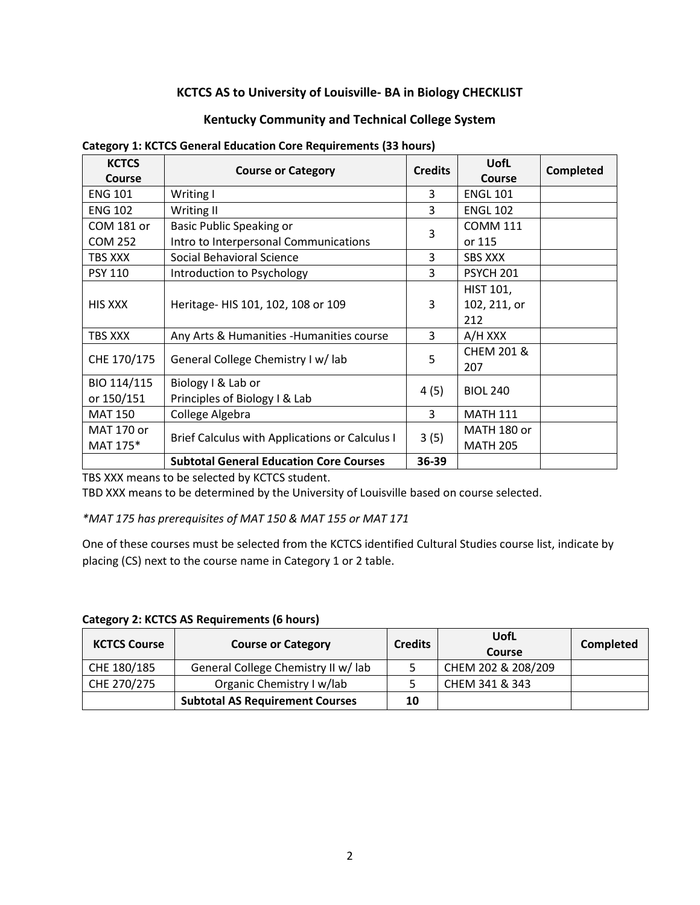## **KCTCS AS to University of Louisville- BA in Biology CHECKLIST**

### **Kentucky Community and Technical College System**

| <b>KCTCS</b><br><b>Course</b> | <b>Course or Category</b>                             | <b>Credits</b> | <b>UofL</b><br><b>Course</b>            | <b>Completed</b> |
|-------------------------------|-------------------------------------------------------|----------------|-----------------------------------------|------------------|
| <b>ENG 101</b>                | Writing I                                             | 3              | <b>ENGL 101</b>                         |                  |
| <b>ENG 102</b>                | Writing II                                            | 3              | <b>ENGL 102</b>                         |                  |
| COM 181 or                    | Basic Public Speaking or                              | 3              | <b>COMM 111</b>                         |                  |
| <b>COM 252</b>                | Intro to Interpersonal Communications                 |                | or 115                                  |                  |
| TBS XXX                       | Social Behavioral Science                             | 3              | <b>SBS XXX</b>                          |                  |
| <b>PSY 110</b>                | Introduction to Psychology                            | 3              | <b>PSYCH 201</b>                        |                  |
| <b>HIS XXX</b>                | Heritage- HIS 101, 102, 108 or 109                    | 3              | <b>HIST 101,</b><br>102, 211, or<br>212 |                  |
| TBS XXX                       | Any Arts & Humanities - Humanities course             | 3              | A/H XXX                                 |                  |
| CHE 170/175                   | General College Chemistry I w/ lab                    | 5              | <b>CHEM 201 &amp;</b><br>207            |                  |
| BIO 114/115                   | Biology I & Lab or                                    | 4(5)           | <b>BIOL 240</b>                         |                  |
| or 150/151                    | Principles of Biology I & Lab                         |                |                                         |                  |
| <b>MAT 150</b>                | College Algebra                                       | 3              | <b>MATH 111</b>                         |                  |
| MAT 170 or                    | <b>Brief Calculus with Applications or Calculus I</b> | 3(5)           | MATH 180 or                             |                  |
| MAT 175*                      |                                                       |                | <b>MATH 205</b>                         |                  |
|                               | <b>Subtotal General Education Core Courses</b>        | 36-39          |                                         |                  |

#### **Category 1: KCTCS General Education Core Requirements (33 hours)**

TBS XXX means to be selected by KCTCS student.

TBD XXX means to be determined by the University of Louisville based on course selected.

*\*MAT 175 has prerequisites of MAT 150 & MAT 155 or MAT 171*

One of these courses must be selected from the KCTCS identified Cultural Studies course list, indicate by placing (CS) next to the course name in Category 1 or 2 table.

| <b>KCTCS Course</b> | <b>Course or Category</b>              | <b>Credits</b> | UofL<br>Course     | <b>Completed</b> |
|---------------------|----------------------------------------|----------------|--------------------|------------------|
| CHE 180/185         | General College Chemistry II w/ lab    |                | CHEM 202 & 208/209 |                  |
| CHE 270/275         | Organic Chemistry I w/lab              |                | CHEM 341 & 343     |                  |
|                     | <b>Subtotal AS Requirement Courses</b> | 10             |                    |                  |

**Category 2: KCTCS AS Requirements (6 hours)**